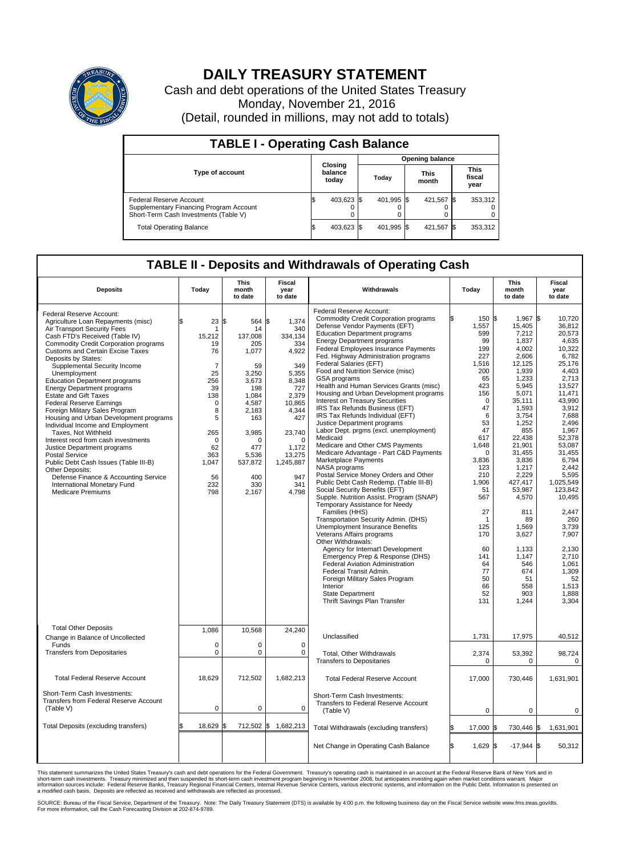

## **DAILY TREASURY STATEMENT**

Cash and debt operations of the United States Treasury Monday, November 21, 2016 (Detail, rounded in millions, may not add to totals)

| <b>TABLE I - Operating Cash Balance</b>                                                                     |    |                             |  |                        |  |                      |      |                               |  |  |  |
|-------------------------------------------------------------------------------------------------------------|----|-----------------------------|--|------------------------|--|----------------------|------|-------------------------------|--|--|--|
|                                                                                                             |    | Closing<br>balance<br>today |  | <b>Opening balance</b> |  |                      |      |                               |  |  |  |
| <b>Type of account</b>                                                                                      |    |                             |  | Today                  |  | <b>This</b><br>month |      | <b>This</b><br>fiscal<br>year |  |  |  |
| Federal Reserve Account<br>Supplementary Financing Program Account<br>Short-Term Cash Investments (Table V) |    | 403,623 \$                  |  | 401.995 \$             |  | 421,567 \$           |      | 353,312                       |  |  |  |
| <b>Total Operating Balance</b>                                                                              | ß. | 403,623 \$                  |  | 401,995 \$             |  | 421,567              | - 13 | 353,312                       |  |  |  |

## **TABLE II - Deposits and Withdrawals of Operating Cash**

| <b>Deposits</b>                                                                                                                                                                                                                                                                                                                                                                                                                                                                                                                                                                                                                                                                                                                                                                                                                                 | Today                                                                                                                                                                 | <b>This</b><br>month<br>to date                                                                                                                                                    | <b>Fiscal</b><br>year<br>to date                                                                                                                                                              | Withdrawals                                                                                                                                                                                                                                                                                                                                                                                                                                                                                                                                                                                                                                                                                                                                                                                                                                                                                                                                                                                                                                                                                                                                                                                                                                                                                                                                                     | Today                                                                                                                                                                                                                                                                    | <b>This</b><br>month<br>to date                                                                                                                                                                                                                                                                                                     | <b>Fiscal</b><br>year<br>to date                                                                                                                                                                                                                                                                                                                       |
|-------------------------------------------------------------------------------------------------------------------------------------------------------------------------------------------------------------------------------------------------------------------------------------------------------------------------------------------------------------------------------------------------------------------------------------------------------------------------------------------------------------------------------------------------------------------------------------------------------------------------------------------------------------------------------------------------------------------------------------------------------------------------------------------------------------------------------------------------|-----------------------------------------------------------------------------------------------------------------------------------------------------------------------|------------------------------------------------------------------------------------------------------------------------------------------------------------------------------------|-----------------------------------------------------------------------------------------------------------------------------------------------------------------------------------------------|-----------------------------------------------------------------------------------------------------------------------------------------------------------------------------------------------------------------------------------------------------------------------------------------------------------------------------------------------------------------------------------------------------------------------------------------------------------------------------------------------------------------------------------------------------------------------------------------------------------------------------------------------------------------------------------------------------------------------------------------------------------------------------------------------------------------------------------------------------------------------------------------------------------------------------------------------------------------------------------------------------------------------------------------------------------------------------------------------------------------------------------------------------------------------------------------------------------------------------------------------------------------------------------------------------------------------------------------------------------------|--------------------------------------------------------------------------------------------------------------------------------------------------------------------------------------------------------------------------------------------------------------------------|-------------------------------------------------------------------------------------------------------------------------------------------------------------------------------------------------------------------------------------------------------------------------------------------------------------------------------------|--------------------------------------------------------------------------------------------------------------------------------------------------------------------------------------------------------------------------------------------------------------------------------------------------------------------------------------------------------|
| Federal Reserve Account:<br>Agriculture Loan Repayments (misc)<br>Air Transport Security Fees<br>Cash FTD's Received (Table IV)<br><b>Commodity Credit Corporation programs</b><br>Customs and Certain Excise Taxes<br>Deposits by States:<br>Supplemental Security Income<br>Unemployment<br><b>Education Department programs</b><br><b>Energy Department programs</b><br><b>Estate and Gift Taxes</b><br><b>Federal Reserve Earnings</b><br>Foreign Military Sales Program<br>Housing and Urban Development programs<br>Individual Income and Employment<br>Taxes, Not Withheld<br>Interest recd from cash investments<br>Justice Department programs<br><b>Postal Service</b><br>Public Debt Cash Issues (Table III-B)<br>Other Deposits:<br>Defense Finance & Accounting Service<br>International Monetary Fund<br><b>Medicare Premiums</b> | 23<br>\$<br>1<br>15,212<br>19<br>76<br>$\overline{7}$<br>25<br>256<br>39<br>138<br>$\mathbf 0$<br>8<br>5<br>265<br>$\Omega$<br>62<br>363<br>1,047<br>56<br>232<br>798 | \$<br>564<br>14<br>137.008<br>205<br>1,077<br>59<br>3,250<br>3,673<br>198<br>1.084<br>4,587<br>2,183<br>163<br>3,985<br>$\Omega$<br>477<br>5,536<br>537,872<br>400<br>330<br>2,167 | \$<br>1,374<br>340<br>334,134<br>334<br>4,922<br>349<br>5,355<br>8,348<br>727<br>2.379<br>10,865<br>4,344<br>427<br>23,740<br>$\Omega$<br>1,172<br>13,275<br>1,245,887<br>947<br>341<br>4,798 | Federal Reserve Account:<br><b>Commodity Credit Corporation programs</b><br>Defense Vendor Payments (EFT)<br><b>Education Department programs</b><br><b>Energy Department programs</b><br><b>Federal Employees Insurance Payments</b><br>Fed. Highway Administration programs<br>Federal Salaries (EFT)<br>Food and Nutrition Service (misc)<br>GSA programs<br>Health and Human Services Grants (misc)<br>Housing and Urban Development programs<br>Interest on Treasury Securities<br>IRS Tax Refunds Business (EFT)<br>IRS Tax Refunds Individual (EFT)<br>Justice Department programs<br>Labor Dept. prgms (excl. unemployment)<br>Medicaid<br>Medicare and Other CMS Payments<br>Medicare Advantage - Part C&D Payments<br>Marketplace Payments<br>NASA programs<br>Postal Service Money Orders and Other<br>Public Debt Cash Redemp. (Table III-B)<br>Social Security Benefits (EFT)<br>Supple. Nutrition Assist. Program (SNAP)<br>Temporary Assistance for Needy<br>Families (HHS)<br>Transportation Security Admin. (DHS)<br>Unemployment Insurance Benefits<br>Veterans Affairs programs<br>Other Withdrawals:<br>Agency for Internat'l Development<br>Emergency Prep & Response (DHS)<br>Federal Aviation Administration<br>Federal Transit Admin.<br>Foreign Military Sales Program<br>Interior<br>State Department<br>Thrift Savings Plan Transfer | 150 \$<br>1,557<br>599<br>99<br>199<br>227<br>1,516<br>200<br>65<br>423<br>156<br>$\mathbf 0$<br>47<br>6<br>53<br>47<br>617<br>1,648<br>$\Omega$<br>3,836<br>123<br>210<br>1,906<br>51<br>567<br>27<br>1<br>125<br>170<br>60<br>141<br>64<br>77<br>50<br>66<br>52<br>131 | 1,967 \$<br>15,405<br>7,212<br>1,837<br>4.002<br>2,606<br>12,125<br>1,939<br>1,233<br>5,945<br>5,071<br>35,111<br>1,593<br>3,754<br>1,252<br>855<br>22,438<br>21,901<br>31.455<br>3,836<br>1,217<br>2,229<br>427,417<br>53,987<br>4,570<br>811<br>89<br>1,569<br>3,627<br>1,133<br>1,147<br>546<br>674<br>51<br>558<br>903<br>1,244 | 10.720<br>36.812<br>20,573<br>4,635<br>10,322<br>6,782<br>25,176<br>4,403<br>2.713<br>13,527<br>11,471<br>43.990<br>3,912<br>7,688<br>2.496<br>1,967<br>52,378<br>53,087<br>31.455<br>6,794<br>2.442<br>5,595<br>1,025,549<br>123,842<br>10,495<br>2,447<br>260<br>3,739<br>7,907<br>2.130<br>2,710<br>1,061<br>1,309<br>52<br>1,513<br>1,888<br>3,304 |
| <b>Total Other Deposits</b><br>Change in Balance of Uncollected                                                                                                                                                                                                                                                                                                                                                                                                                                                                                                                                                                                                                                                                                                                                                                                 | 1,086                                                                                                                                                                 | 10,568                                                                                                                                                                             | 24,240                                                                                                                                                                                        | Unclassified                                                                                                                                                                                                                                                                                                                                                                                                                                                                                                                                                                                                                                                                                                                                                                                                                                                                                                                                                                                                                                                                                                                                                                                                                                                                                                                                                    | 1,731                                                                                                                                                                                                                                                                    | 17,975                                                                                                                                                                                                                                                                                                                              | 40,512                                                                                                                                                                                                                                                                                                                                                 |
| Funds<br><b>Transfers from Depositaries</b>                                                                                                                                                                                                                                                                                                                                                                                                                                                                                                                                                                                                                                                                                                                                                                                                     | $\mathbf 0$<br>$\mathbf 0$                                                                                                                                            | 0<br>0                                                                                                                                                                             | 0<br>$\mathbf 0$                                                                                                                                                                              | <b>Total, Other Withdrawals</b><br><b>Transfers to Depositaries</b>                                                                                                                                                                                                                                                                                                                                                                                                                                                                                                                                                                                                                                                                                                                                                                                                                                                                                                                                                                                                                                                                                                                                                                                                                                                                                             | 2,374<br>0                                                                                                                                                                                                                                                               | 53,392<br>0                                                                                                                                                                                                                                                                                                                         | 98,724<br>0                                                                                                                                                                                                                                                                                                                                            |
| <b>Total Federal Reserve Account</b>                                                                                                                                                                                                                                                                                                                                                                                                                                                                                                                                                                                                                                                                                                                                                                                                            | 18,629                                                                                                                                                                | 712,502                                                                                                                                                                            | 1,682,213                                                                                                                                                                                     | <b>Total Federal Reserve Account</b>                                                                                                                                                                                                                                                                                                                                                                                                                                                                                                                                                                                                                                                                                                                                                                                                                                                                                                                                                                                                                                                                                                                                                                                                                                                                                                                            | 17,000                                                                                                                                                                                                                                                                   | 730,446                                                                                                                                                                                                                                                                                                                             | 1,631,901                                                                                                                                                                                                                                                                                                                                              |
| Short-Term Cash Investments:<br>Transfers from Federal Reserve Account<br>(Table V)                                                                                                                                                                                                                                                                                                                                                                                                                                                                                                                                                                                                                                                                                                                                                             | $\pmb{0}$                                                                                                                                                             | 0                                                                                                                                                                                  | $\mathbf 0$                                                                                                                                                                                   | Short-Term Cash Investments:<br>Transfers to Federal Reserve Account<br>(Table V)                                                                                                                                                                                                                                                                                                                                                                                                                                                                                                                                                                                                                                                                                                                                                                                                                                                                                                                                                                                                                                                                                                                                                                                                                                                                               | $\mathbf 0$                                                                                                                                                                                                                                                              | 0                                                                                                                                                                                                                                                                                                                                   | 0                                                                                                                                                                                                                                                                                                                                                      |
| Total Deposits (excluding transfers)                                                                                                                                                                                                                                                                                                                                                                                                                                                                                                                                                                                                                                                                                                                                                                                                            | 18,629<br>\$                                                                                                                                                          | \$                                                                                                                                                                                 | 712,502 \$ 1,682,213                                                                                                                                                                          | Total Withdrawals (excluding transfers)                                                                                                                                                                                                                                                                                                                                                                                                                                                                                                                                                                                                                                                                                                                                                                                                                                                                                                                                                                                                                                                                                                                                                                                                                                                                                                                         | 17,000 \$                                                                                                                                                                                                                                                                | 730,446 \$                                                                                                                                                                                                                                                                                                                          | 1,631,901                                                                                                                                                                                                                                                                                                                                              |
|                                                                                                                                                                                                                                                                                                                                                                                                                                                                                                                                                                                                                                                                                                                                                                                                                                                 |                                                                                                                                                                       |                                                                                                                                                                                    |                                                                                                                                                                                               | Net Change in Operating Cash Balance                                                                                                                                                                                                                                                                                                                                                                                                                                                                                                                                                                                                                                                                                                                                                                                                                                                                                                                                                                                                                                                                                                                                                                                                                                                                                                                            | ß.<br>$1,629$ \$                                                                                                                                                                                                                                                         | $-17,944$ \$                                                                                                                                                                                                                                                                                                                        | 50,312                                                                                                                                                                                                                                                                                                                                                 |

This statement summarizes the United States Treasury's cash and debt operations for the Federal Government. Treasury's operating cash is maintained in an account at the Federal Reserve Bank of New York and in<br>short-term ca

SOURCE: Bureau of the Fiscal Service, Department of the Treasury. Note: The Daily Treasury Statement (DTS) is available by 4:00 p.m. the following business day on the Fiscal Service website www.fms.treas.gov/dts.<br>For more